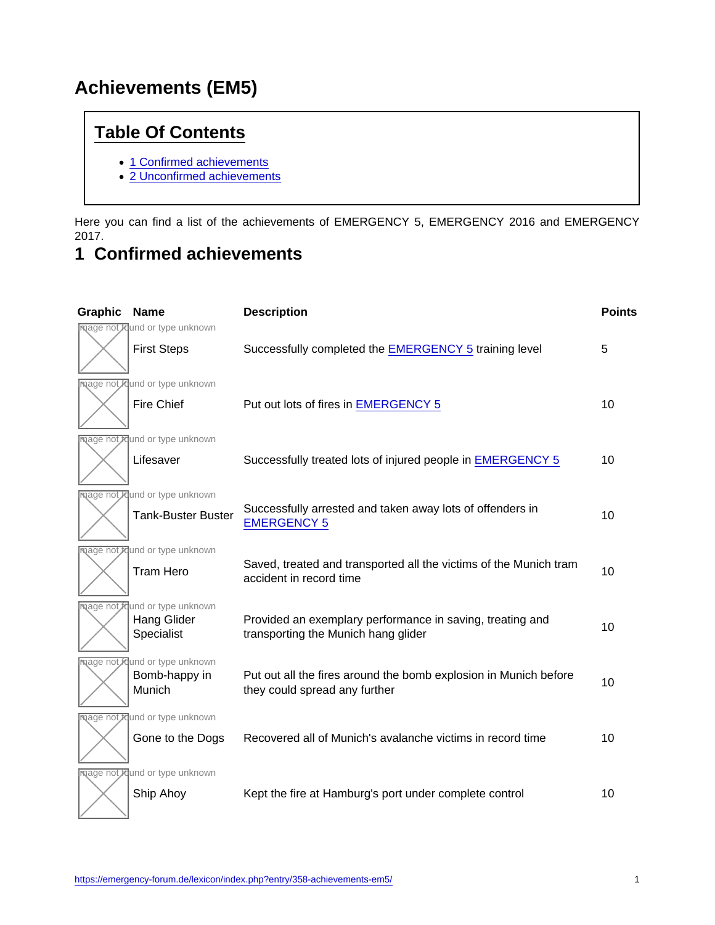## Achievements (EM5)

## Table Of Contents

- [1 Confirmed achievements](https://emergency-forum.de/lexicon/index.php?entry/358-achievements-em5/#1-Confirmed-achievements)
- [2 Unconfirmed achievements](https://emergency-forum.de/lexicon/index.php?entry/358-achievements-em5/#2-Unconfirmed-achievements)

Here you can find a list of the achievements of EMERGENCY 5, EMERGENCY 2016 and EMERGENCY 2017.

## 1 Confirmed achievements

| Graphic | Name                             | Description                                                                                       | Points |
|---------|----------------------------------|---------------------------------------------------------------------------------------------------|--------|
|         | mage not found or type unknown   |                                                                                                   |        |
|         | <b>First Steps</b>               | Successfully completed the EMERGENCY 5 training level                                             | 5      |
|         | mage not found or type unknown   |                                                                                                   |        |
|         | <b>Fire Chief</b>                | Put out lots of fires in EMERGENCY 5                                                              | 10     |
|         | mage not found or type unknown   |                                                                                                   |        |
|         | Lifesaver                        | Successfully treated lots of injured people in EMERGENCY 5                                        | 10     |
|         | mage not found or type unknown   |                                                                                                   |        |
|         | <b>Tank-Buster Buster</b>        | Successfully arrested and taken away lots of offenders in<br><b>EMERGENCY 5</b>                   | 10     |
|         | mage not found or type unknown   |                                                                                                   |        |
|         | <b>Tram Hero</b>                 | Saved, treated and transported all the victims of the Munich tram<br>accident in record time      | 10     |
|         | mage not found or type unknown   |                                                                                                   |        |
|         | <b>Hang Glider</b><br>Specialist | Provided an exemplary performance in saving, treating and<br>transporting the Munich hang glider  | 10     |
|         | mage not found or type unknown   |                                                                                                   |        |
|         | Bomb-happy in<br>Munich          | Put out all the fires around the bomb explosion in Munich before<br>they could spread any further | 10     |
|         | mage not found or type unknown   |                                                                                                   |        |
|         | Gone to the Dogs                 | Recovered all of Munich's avalanche victims in record time                                        | 10     |
|         | mage not found or type unknown   |                                                                                                   |        |
|         | Ship Ahoy                        | Kept the fire at Hamburg's port under complete control                                            | 10     |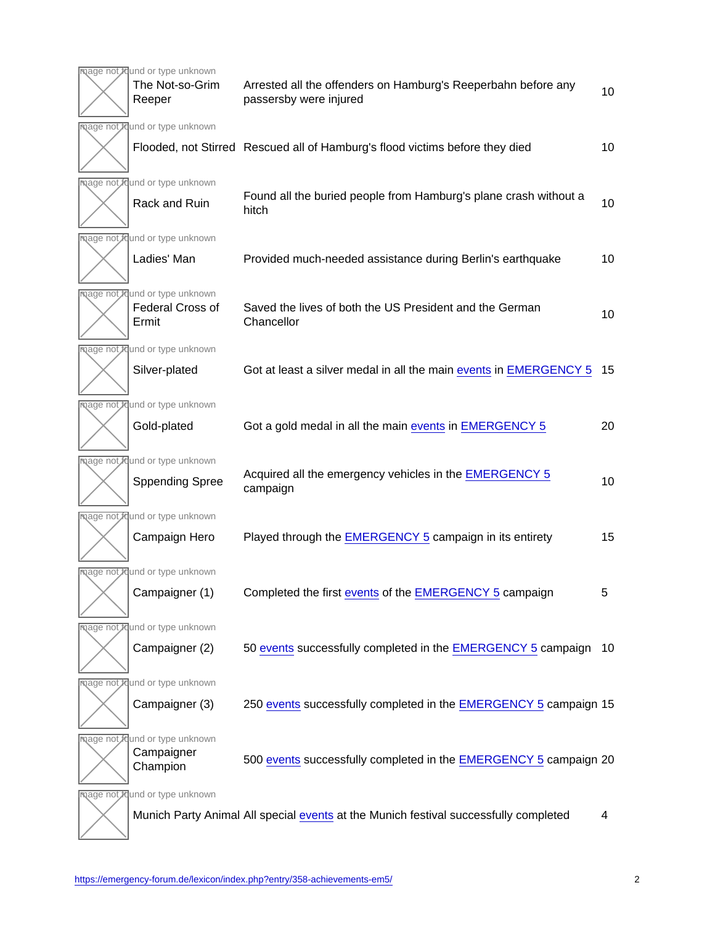| mage not found or type unknown<br>The Not-so-Grim<br>Reeper | Arrested all the offenders on Hamburg's Reeperbahn before any<br>passersby were injured | 10 |
|-------------------------------------------------------------|-----------------------------------------------------------------------------------------|----|
| mage not found or type unknown                              |                                                                                         |    |
|                                                             | Flooded, not Stirred Rescued all of Hamburg's flood victims before they died            | 10 |
| mage not found or type unknown                              |                                                                                         |    |
| Rack and Ruin                                               | Found all the buried people from Hamburg's plane crash without a<br>hitch               | 10 |
| mage not found or type unknown                              |                                                                                         |    |
| Ladies' Man                                                 | Provided much-needed assistance during Berlin's earthquake                              | 10 |
| mage not found or type unknown                              |                                                                                         |    |
| <b>Federal Cross of</b><br>Ermit                            | Saved the lives of both the US President and the German<br>Chancellor                   | 10 |
| mage not found or type unknown                              |                                                                                         |    |
| Silver-plated                                               | Got at least a silver medal in all the main events in EMERGENCY 5                       | 15 |
| mage not found or type unknown                              |                                                                                         |    |
| Gold-plated                                                 | Got a gold medal in all the main events in EMERGENCY 5                                  | 20 |
| mage not found or type unknown                              |                                                                                         |    |
| <b>Sppending Spree</b>                                      | Acquired all the emergency vehicles in the EMERGENCY 5<br>campaign                      | 10 |
| mage not found or type unknown                              |                                                                                         |    |
| Campaign Hero                                               | Played through the EMERGENCY 5 campaign in its entirety                                 | 15 |
| mage not found or type unknown                              |                                                                                         |    |
| Campaigner (1)                                              | Completed the first events of the EMERGENCY 5 campaign                                  | 5  |
| mage not found or type unknown                              |                                                                                         |    |
| Campaigner (2)                                              | 50 events successfully completed in the EMERGENCY 5 campaign 10                         |    |
| mage not found or type unknown                              |                                                                                         |    |
| Campaigner (3)                                              | 250 events successfully completed in the EMERGENCY 5 campaign 15                        |    |
| mage not found or type unknown<br>Campaigner<br>Champion    | 500 events successfully completed in the EMERGENCY 5 campaign 20                        |    |
| mage not found or type unknown                              |                                                                                         |    |
|                                                             | Munich Party Animal All special events at the Munich festival successfully completed    | 4  |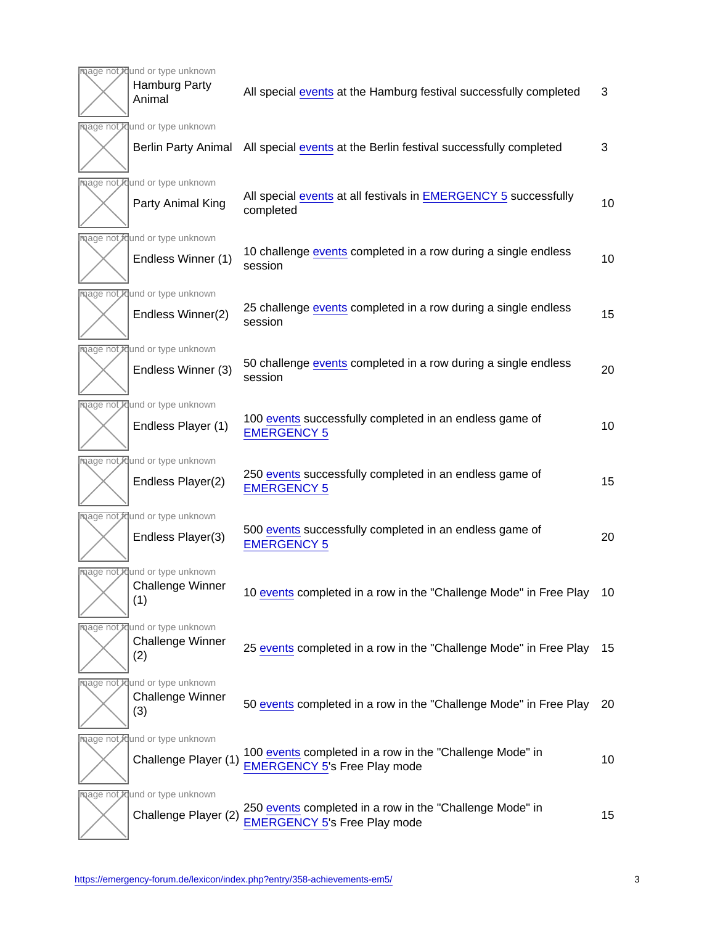| mage not found or type unknown<br>Hamburg Party<br>Animal        | All special events at the Hamburg festival successfully completed                               | 3  |
|------------------------------------------------------------------|-------------------------------------------------------------------------------------------------|----|
| mage not found or type unknown                                   |                                                                                                 |    |
| <b>Berlin Party Animal</b>                                       | All special events at the Berlin festival successfully completed                                | 3  |
| mage not found or type unknown<br>Party Animal King              | All special events at all festivals in EMERGENCY 5 successfully<br>completed                    | 10 |
| mage not found or type unknown<br>Endless Winner (1)             | 10 challenge events completed in a row during a single endless<br>session                       | 10 |
| mage not found or type unknown<br>Endless Winner(2)              | 25 challenge events completed in a row during a single endless<br>session                       | 15 |
| mage not found or type unknown                                   |                                                                                                 |    |
| Endless Winner (3)                                               | 50 challenge events completed in a row during a single endless<br>session                       | 20 |
| mage not found or type unknown                                   |                                                                                                 |    |
| Endless Player (1)                                               | 100 events successfully completed in an endless game of<br><b>EMERGENCY 5</b>                   | 10 |
| mage not found or type unknown                                   |                                                                                                 |    |
| Endless Player(2)                                                | 250 events successfully completed in an endless game of<br><b>EMERGENCY 5</b>                   | 15 |
| mage not found or type unknown                                   |                                                                                                 |    |
| Endless Player(3)                                                | 500 events successfully completed in an endless game of<br><b>EMERGENCY 5</b>                   | 20 |
| mage not found or type unknown<br><b>Challenge Winner</b><br>(1) | 10 events completed in a row in the "Challenge Mode" in Free Play 10                            |    |
| mage not found or type unknown<br><b>Challenge Winner</b><br>(2) | 25 events completed in a row in the "Challenge Mode" in Free Play                               | 15 |
| mage not found or type unknown<br><b>Challenge Winner</b><br>(3) | 50 events completed in a row in the "Challenge Mode" in Free Play                               | 20 |
| mage not found or type unknown<br>Challenge Player (1)           | 100 events completed in a row in the "Challenge Mode" in<br><b>EMERGENCY 5's Free Play mode</b> | 10 |
| mage not found or type unknown                                   |                                                                                                 |    |
| Challenge Player (2)                                             | 250 events completed in a row in the "Challenge Mode" in<br><b>EMERGENCY 5's Free Play mode</b> | 15 |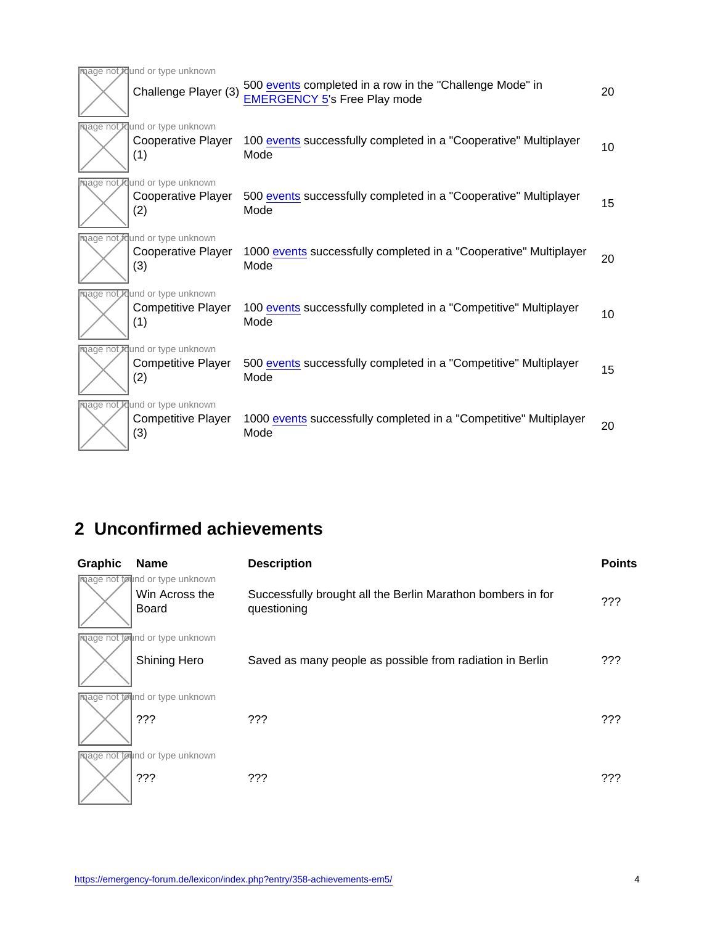| mage not found or type unknown                                     |                                                                                                 |    |
|--------------------------------------------------------------------|-------------------------------------------------------------------------------------------------|----|
| Challenge Player (3)                                               | 500 events completed in a row in the "Challenge Mode" in<br><b>EMERGENCY 5's Free Play mode</b> | 20 |
| mage not found or type unknown<br>Cooperative Player<br>(1)        | 100 events successfully completed in a "Cooperative" Multiplayer<br>Mode                        | 10 |
| mage not found or type unknown<br><b>Cooperative Player</b><br>(2) | 500 events successfully completed in a "Cooperative" Multiplayer<br>Mode                        | 15 |
| mage not found or type unknown<br><b>Cooperative Player</b><br>(3) | 1000 events successfully completed in a "Cooperative" Multiplayer<br>Mode                       | 20 |
| mage not found or type unknown<br><b>Competitive Player</b><br>(1) | 100 events successfully completed in a "Competitive" Multiplayer<br>Mode                        | 10 |
| mage not found or type unknown<br><b>Competitive Player</b><br>(2) | 500 events successfully completed in a "Competitive" Multiplayer<br>Mode                        | 15 |
| mage not found or type unknown<br><b>Competitive Player</b><br>(3) | 1000 events successfully completed in a "Competitive" Multiplayer<br>Mode                       | 20 |

## 2 Unconfirmed achievements

| Graphic | Name                                                             | Description                                                                | Points |
|---------|------------------------------------------------------------------|----------------------------------------------------------------------------|--------|
|         | mage not found or type unknown<br>Win Across the<br><b>Board</b> | Successfully brought all the Berlin Marathon bombers in for<br>questioning | ???    |
|         | mage not found or type unknown                                   |                                                                            |        |
|         | Shining Hero                                                     | Saved as many people as possible from radiation in Berlin                  | ???    |
|         | mage not found or type unknown<br>???                            | ???                                                                        | ???    |
|         | mage not found or type unknown<br>???                            | ???                                                                        | ???    |